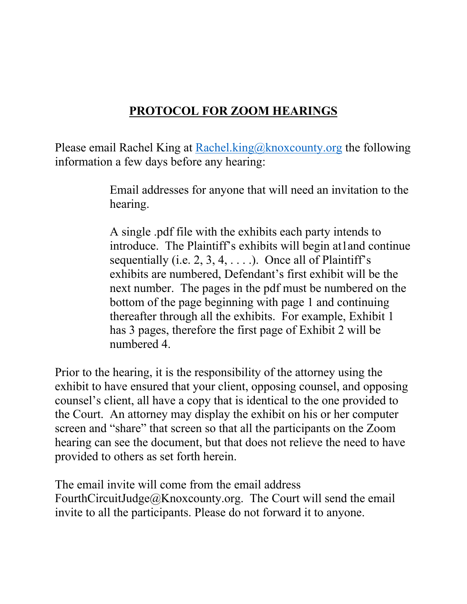## **PROTOCOL FOR ZOOM HEARINGS**

Please email Rachel King at Rachel.king@knoxcounty.org the following information a few days before any hearing:

> Email addresses for anyone that will need an invitation to the hearing.

> A single .pdf file with the exhibits each party intends to introduce. The Plaintiff's exhibits will begin at1and continue sequentially (i.e.  $2, 3, 4, \ldots$ ). Once all of Plaintiff's exhibits are numbered, Defendant's first exhibit will be the next number. The pages in the pdf must be numbered on the bottom of the page beginning with page 1 and continuing thereafter through all the exhibits. For example, Exhibit 1 has 3 pages, therefore the first page of Exhibit 2 will be numbered 4.

Prior to the hearing, it is the responsibility of the attorney using the exhibit to have ensured that your client, opposing counsel, and opposing counsel's client, all have a copy that is identical to the one provided to the Court. An attorney may display the exhibit on his or her computer screen and "share" that screen so that all the participants on the Zoom hearing can see the document, but that does not relieve the need to have provided to others as set forth herein.

The email invite will come from the email address FourthCircuitJudge@Knoxcounty.org. The Court will send the email invite to all the participants. Please do not forward it to anyone.